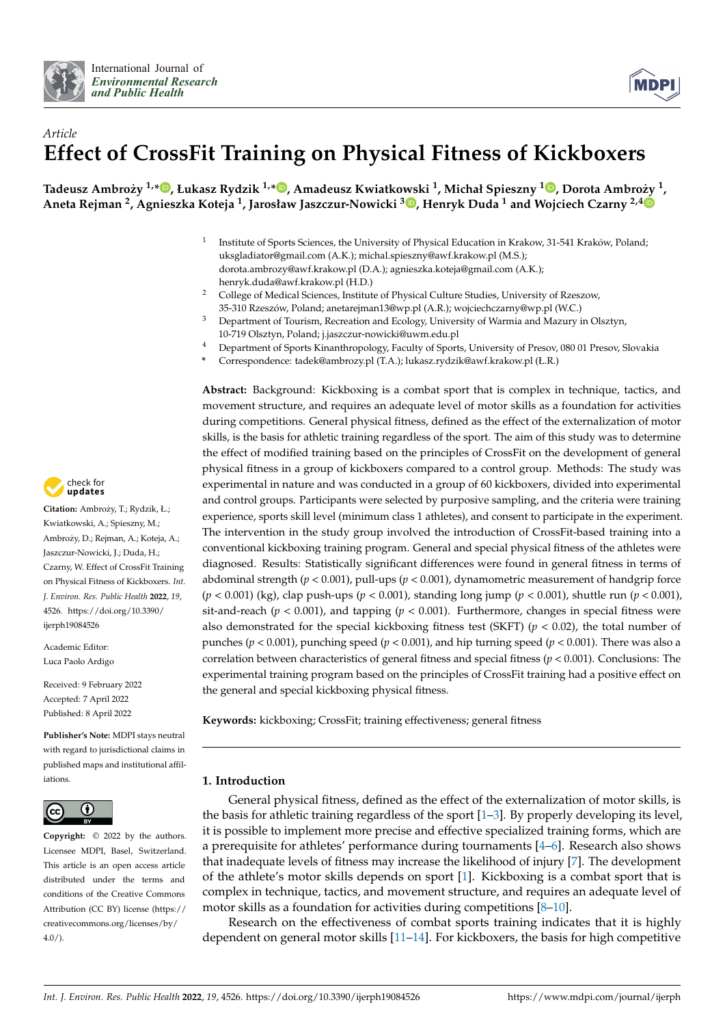



# *Article* **Effect of CrossFit Training on Physical Fitness of Kickboxers**

, Tadeusz Ambroży <sup>1,</sup>[\\*](https://orcid.org/0000-0001-7361-9478)®[,](https://orcid.org/0000-0002-9934-6911) Łukasz Rydzik <sup>1,</sup>\*®, Amadeusz Kwiatkowski <sup>1</sup>, Michał Spieszny <sup>1</sup>®, Dorota Ambroży <sup>1</sup> **Aneta Rejman <sup>2</sup> , Agnieszka Koteja <sup>1</sup> , Jarosław Jaszczur-Nowicki <sup>3</sup> [,](https://orcid.org/0000-0001-5256-1406) Henryk Duda <sup>1</sup> and Wojciech Czarny 2,4**

- 1 Institute of Sports Sciences, the University of Physical Education in Krakow, 31-541 Kraków, Poland; uksgladiator@gmail.com (A.K.); michal.spieszny@awf.krakow.pl (M.S.); dorota.ambrozy@awf.krakow.pl (D.A.); agnieszka.koteja@gmail.com (A.K.); henryk.duda@awf.krakow.pl (H.D.)
- <sup>2</sup> College of Medical Sciences, Institute of Physical Culture Studies, University of Rzeszow, 35-310 Rzeszów, Poland; anetarejman13@wp.pl (A.R.); wojciechczarny@wp.pl (W.C.)
- <sup>3</sup> Department of Tourism, Recreation and Ecology, University of Warmia and Mazury in Olsztyn, 10-719 Olsztyn, Poland; j.jaszczur-nowicki@uwm.edu.pl
- <sup>4</sup> Department of Sports Kinanthropology, Faculty of Sports, University of Presov, 080 01 Presov, Slovakia
- **\*** Correspondence: tadek@ambrozy.pl (T.A.); lukasz.rydzik@awf.krakow.pl (Ł.R.)

**Abstract:** Background: Kickboxing is a combat sport that is complex in technique, tactics, and movement structure, and requires an adequate level of motor skills as a foundation for activities during competitions. General physical fitness, defined as the effect of the externalization of motor skills, is the basis for athletic training regardless of the sport. The aim of this study was to determine the effect of modified training based on the principles of CrossFit on the development of general physical fitness in a group of kickboxers compared to a control group. Methods: The study was experimental in nature and was conducted in a group of 60 kickboxers, divided into experimental and control groups. Participants were selected by purposive sampling, and the criteria were training experience, sports skill level (minimum class 1 athletes), and consent to participate in the experiment. The intervention in the study group involved the introduction of CrossFit-based training into a conventional kickboxing training program. General and special physical fitness of the athletes were diagnosed. Results: Statistically significant differences were found in general fitness in terms of abdominal strength (*p* < 0.001), pull-ups (*p* < 0.001), dynamometric measurement of handgrip force (*p* < 0.001) (kg), clap push-ups (*p* < 0.001), standing long jump (*p* < 0.001), shuttle run (*p* < 0.001), sit-and-reach ( $p < 0.001$ ), and tapping ( $p < 0.001$ ). Furthermore, changes in special fitness were also demonstrated for the special kickboxing fitness test (SKFT)  $(p < 0.02)$ , the total number of punches ( $p < 0.001$ ), punching speed ( $p < 0.001$ ), and hip turning speed ( $p < 0.001$ ). There was also a correlation between characteristics of general fitness and special fitness ( $p < 0.001$ ). Conclusions: The experimental training program based on the principles of CrossFit training had a positive effect on the general and special kickboxing physical fitness.

**Keywords:** kickboxing; CrossFit; training effectiveness; general fitness

## **1. Introduction**

General physical fitness, defined as the effect of the externalization of motor skills, is the basis for athletic training regardless of the sport [\[1](#page-10-0)[–3\]](#page-10-1). By properly developing its level, it is possible to implement more precise and effective specialized training forms, which are a prerequisite for athletes' performance during tournaments [\[4–](#page-10-2)[6\]](#page-10-3). Research also shows that inadequate levels of fitness may increase the likelihood of injury [\[7\]](#page-10-4). The development of the athlete's motor skills depends on sport [\[1\]](#page-10-0). Kickboxing is a combat sport that is complex in technique, tactics, and movement structure, and requires an adequate level of motor skills as a foundation for activities during competitions [\[8](#page-10-5)[–10\]](#page-10-6).

Research on the effectiveness of combat sports training indicates that it is highly dependent on general motor skills [\[11–](#page-10-7)[14\]](#page-10-8). For kickboxers, the basis for high competitive



**Citation:** Ambrozy, T.; Rydzik, Ł.; ˙ Kwiatkowski, A.; Spieszny, M.; Ambrozy, D.; Rejman, A.; Koteja, A.; ˙ Jaszczur-Nowicki, J.; Duda, H.; Czarny, W. Effect of CrossFit Training on Physical Fitness of Kickboxers. *Int. J. Environ. Res. Public Health* **2022**, *19*, 4526. [https://doi.org/10.3390/](https://doi.org/10.3390/ijerph19084526) [ijerph19084526](https://doi.org/10.3390/ijerph19084526)

Academic Editor: Luca Paolo Ardigo

Received: 9 February 2022 Accepted: 7 April 2022 Published: 8 April 2022

**Publisher's Note:** MDPI stays neutral with regard to jurisdictional claims in published maps and institutional affiliations.



**Copyright:** © 2022 by the authors. Licensee MDPI, Basel, Switzerland. This article is an open access article distributed under the terms and conditions of the Creative Commons Attribution (CC BY) license [\(https://](https://creativecommons.org/licenses/by/4.0/) [creativecommons.org/licenses/by/](https://creativecommons.org/licenses/by/4.0/)  $4.0/$ ).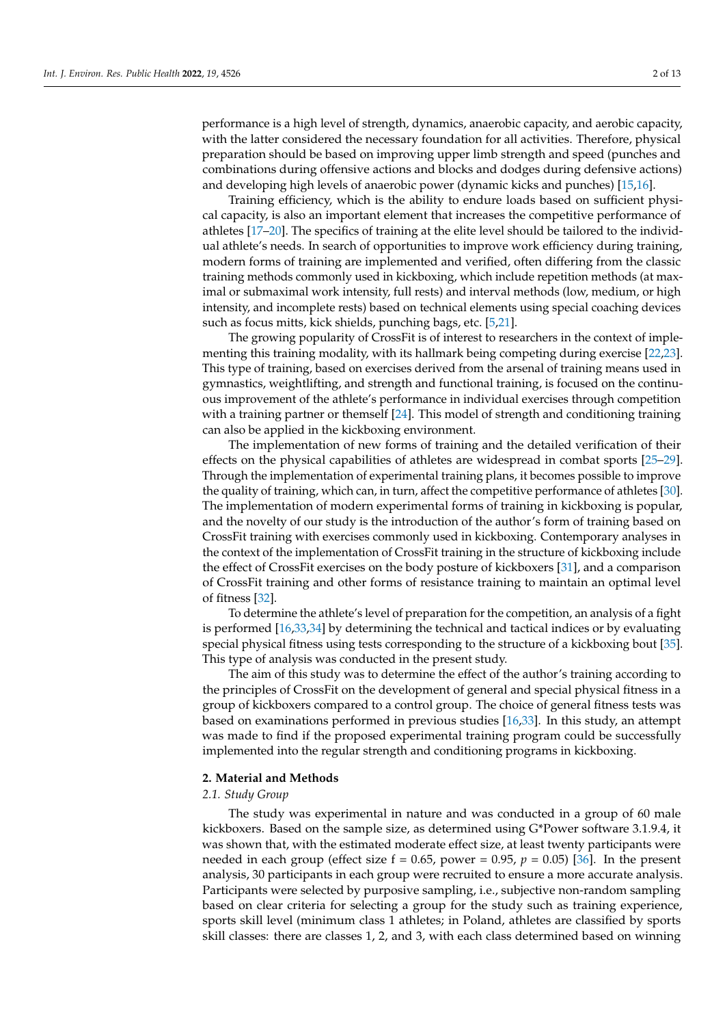performance is a high level of strength, dynamics, anaerobic capacity, and aerobic capacity, with the latter considered the necessary foundation for all activities. Therefore, physical preparation should be based on improving upper limb strength and speed (punches and combinations during offensive actions and blocks and dodges during defensive actions) and developing high levels of anaerobic power (dynamic kicks and punches) [\[15](#page-10-9)[,16\]](#page-10-10).

Training efficiency, which is the ability to endure loads based on sufficient physical capacity, is also an important element that increases the competitive performance of athletes [\[17](#page-10-11)[–20\]](#page-10-12). The specifics of training at the elite level should be tailored to the individual athlete's needs. In search of opportunities to improve work efficiency during training, modern forms of training are implemented and verified, often differing from the classic training methods commonly used in kickboxing, which include repetition methods (at maximal or submaximal work intensity, full rests) and interval methods (low, medium, or high intensity, and incomplete rests) based on technical elements using special coaching devices such as focus mitts, kick shields, punching bags, etc. [\[5](#page-10-13)[,21\]](#page-11-0).

The growing popularity of CrossFit is of interest to researchers in the context of implementing this training modality, with its hallmark being competing during exercise [\[22](#page-11-1)[,23\]](#page-11-2). This type of training, based on exercises derived from the arsenal of training means used in gymnastics, weightlifting, and strength and functional training, is focused on the continuous improvement of the athlete's performance in individual exercises through competition with a training partner or themself [\[24\]](#page-11-3). This model of strength and conditioning training can also be applied in the kickboxing environment.

The implementation of new forms of training and the detailed verification of their effects on the physical capabilities of athletes are widespread in combat sports [\[25](#page-11-4)[–29\]](#page-11-5). Through the implementation of experimental training plans, it becomes possible to improve the quality of training, which can, in turn, affect the competitive performance of athletes [\[30\]](#page-11-6). The implementation of modern experimental forms of training in kickboxing is popular, and the novelty of our study is the introduction of the author's form of training based on CrossFit training with exercises commonly used in kickboxing. Contemporary analyses in the context of the implementation of CrossFit training in the structure of kickboxing include the effect of CrossFit exercises on the body posture of kickboxers [\[31\]](#page-11-7), and a comparison of CrossFit training and other forms of resistance training to maintain an optimal level of fitness [\[32\]](#page-11-8).

To determine the athlete's level of preparation for the competition, an analysis of a fight is performed [\[16,](#page-10-10)[33,](#page-11-9)[34\]](#page-11-10) by determining the technical and tactical indices or by evaluating special physical fitness using tests corresponding to the structure of a kickboxing bout [\[35\]](#page-11-11). This type of analysis was conducted in the present study.

The aim of this study was to determine the effect of the author's training according to the principles of CrossFit on the development of general and special physical fitness in a group of kickboxers compared to a control group. The choice of general fitness tests was based on examinations performed in previous studies [\[16,](#page-10-10)[33\]](#page-11-9). In this study, an attempt was made to find if the proposed experimental training program could be successfully implemented into the regular strength and conditioning programs in kickboxing.

## **2. Material and Methods**

## *2.1. Study Group*

The study was experimental in nature and was conducted in a group of 60 male kickboxers. Based on the sample size, as determined using G\*Power software 3.1.9.4, it was shown that, with the estimated moderate effect size, at least twenty participants were needed in each group (effect size  $f = 0.65$ , power = 0.95,  $p = 0.05$ ) [\[36\]](#page-11-12). In the present analysis, 30 participants in each group were recruited to ensure a more accurate analysis. Participants were selected by purposive sampling, i.e., subjective non-random sampling based on clear criteria for selecting a group for the study such as training experience, sports skill level (minimum class 1 athletes; in Poland, athletes are classified by sports skill classes: there are classes 1, 2, and 3, with each class determined based on winning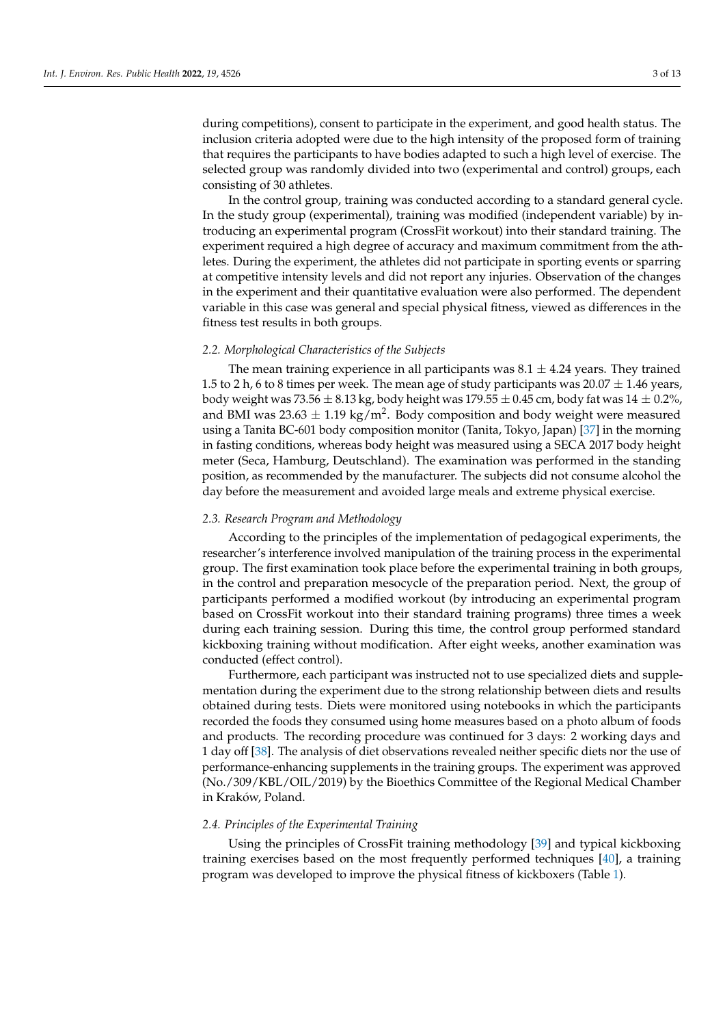during competitions), consent to participate in the experiment, and good health status. The inclusion criteria adopted were due to the high intensity of the proposed form of training that requires the participants to have bodies adapted to such a high level of exercise. The selected group was randomly divided into two (experimental and control) groups, each consisting of 30 athletes.

In the control group, training was conducted according to a standard general cycle. In the study group (experimental), training was modified (independent variable) by introducing an experimental program (CrossFit workout) into their standard training. The experiment required a high degree of accuracy and maximum commitment from the athletes. During the experiment, the athletes did not participate in sporting events or sparring at competitive intensity levels and did not report any injuries. Observation of the changes in the experiment and their quantitative evaluation were also performed. The dependent variable in this case was general and special physical fitness, viewed as differences in the fitness test results in both groups.

## *2.2. Morphological Characteristics of the Subjects*

The mean training experience in all participants was  $8.1 \pm 4.24$  years. They trained 1.5 to 2 h, 6 to 8 times per week. The mean age of study participants was  $20.07 \pm 1.46$  years, body weight was 73.56  $\pm$  8.13 kg, body height was 179.55  $\pm$  0.45 cm, body fat was 14  $\pm$  0.2%, and BMI was 23.63  $\pm$  1.19 kg/m<sup>2</sup>. Body composition and body weight were measured using a Tanita BC-601 body composition monitor (Tanita, Tokyo, Japan) [\[37\]](#page-11-13) in the morning in fasting conditions, whereas body height was measured using a SECA 2017 body height meter (Seca, Hamburg, Deutschland). The examination was performed in the standing position, as recommended by the manufacturer. The subjects did not consume alcohol the day before the measurement and avoided large meals and extreme physical exercise.

## *2.3. Research Program and Methodology*

According to the principles of the implementation of pedagogical experiments, the researcher's interference involved manipulation of the training process in the experimental group. The first examination took place before the experimental training in both groups, in the control and preparation mesocycle of the preparation period. Next, the group of participants performed a modified workout (by introducing an experimental program based on CrossFit workout into their standard training programs) three times a week during each training session. During this time, the control group performed standard kickboxing training without modification. After eight weeks, another examination was conducted (effect control).

Furthermore, each participant was instructed not to use specialized diets and supplementation during the experiment due to the strong relationship between diets and results obtained during tests. Diets were monitored using notebooks in which the participants recorded the foods they consumed using home measures based on a photo album of foods and products. The recording procedure was continued for 3 days: 2 working days and 1 day off [\[38\]](#page-11-14). The analysis of diet observations revealed neither specific diets nor the use of performance-enhancing supplements in the training groups. The experiment was approved (No./309/KBL/OIL/2019) by the Bioethics Committee of the Regional Medical Chamber in Kraków, Poland.

## *2.4. Principles of the Experimental Training*

Using the principles of CrossFit training methodology [\[39\]](#page-11-15) and typical kickboxing training exercises based on the most frequently performed techniques [\[40\]](#page-11-16), a training program was developed to improve the physical fitness of kickboxers (Table [1\)](#page-3-0).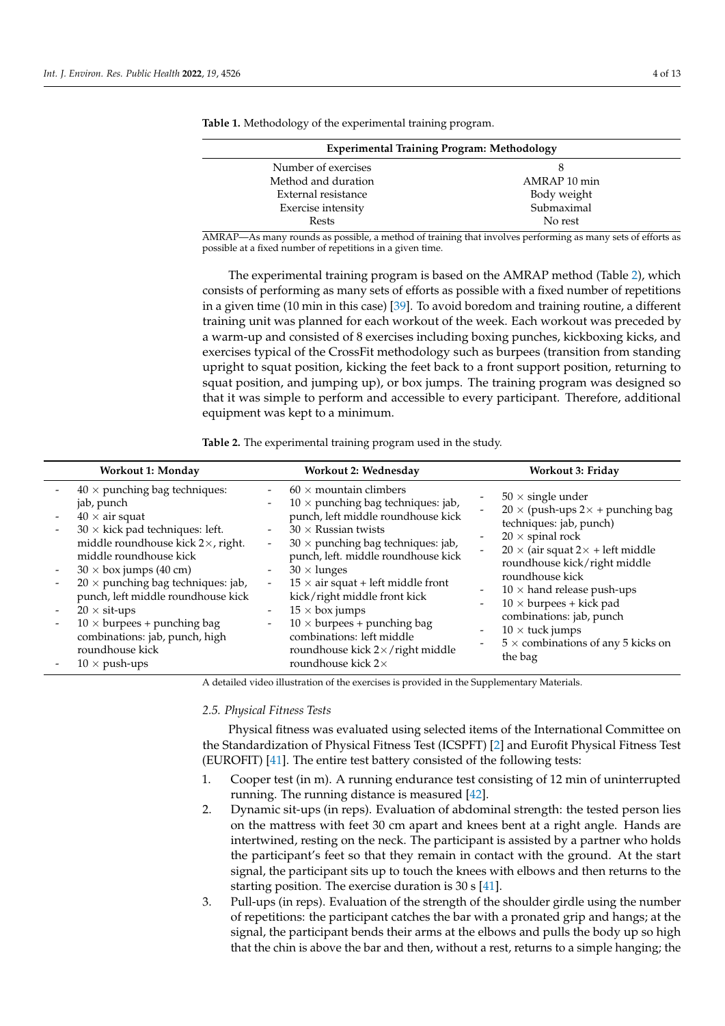| <b>Experimental Training Program: Methodology</b> |              |  |  |  |  |  |
|---------------------------------------------------|--------------|--|--|--|--|--|
| Number of exercises                               |              |  |  |  |  |  |
| Method and duration                               | AMRAP 10 min |  |  |  |  |  |
| External resistance                               | Body weight  |  |  |  |  |  |
| Exercise intensity                                | Submaximal   |  |  |  |  |  |
| Rests                                             | No rest      |  |  |  |  |  |
|                                                   |              |  |  |  |  |  |

<span id="page-3-0"></span>**Table 1.** Methodology of the experimental training program.

AMRAP—As many rounds as possible, a method of training that involves performing as many sets of efforts as possible at a fixed number of repetitions in a given time.

The experimental training program is based on the AMRAP method (Table [2\)](#page-3-1), which consists of performing as many sets of efforts as possible with a fixed number of repetitions in a given time (10 min in this case) [\[39\]](#page-11-15). To avoid boredom and training routine, a different training unit was planned for each workout of the week. Each workout was preceded by a warm-up and consisted of 8 exercises including boxing punches, kickboxing kicks, and exercises typical of the CrossFit methodology such as burpees (transition from standing upright to squat position, kicking the feet back to a front support position, returning to squat position, and jumping up), or box jumps. The training program was designed so that it was simple to perform and accessible to every participant. Therefore, additional equipment was kept to a minimum.

<span id="page-3-1"></span>**Table 2.** The experimental training program used in the study.

| <b>Workout 1: Monday</b>                                                                                                                                                                                                                                                                                                                                                                                                                           | Workout 2: Wednesday                                                                                                                                                                                                                                                                                                                                                                                                                                                                                                                                                                                                                                                                                                        | Workout 3: Friday                                                                                                                                                                                                                                                                                                                                                                                                                                                                                                    |  |  |
|----------------------------------------------------------------------------------------------------------------------------------------------------------------------------------------------------------------------------------------------------------------------------------------------------------------------------------------------------------------------------------------------------------------------------------------------------|-----------------------------------------------------------------------------------------------------------------------------------------------------------------------------------------------------------------------------------------------------------------------------------------------------------------------------------------------------------------------------------------------------------------------------------------------------------------------------------------------------------------------------------------------------------------------------------------------------------------------------------------------------------------------------------------------------------------------------|----------------------------------------------------------------------------------------------------------------------------------------------------------------------------------------------------------------------------------------------------------------------------------------------------------------------------------------------------------------------------------------------------------------------------------------------------------------------------------------------------------------------|--|--|
| $40 \times$ punching bag techniques:<br>jab, punch<br>$40 \times$ air squat<br>$30 \times$ kick pad techniques: left.<br>middle roundhouse kick 2×, right.<br>middle roundhouse kick<br>$30 \times$ box jumps (40 cm)<br>$20 \times$ punching bag techniques: jab,<br>punch, left middle roundhouse kick<br>$20 \times$ sit-ups<br>$10 \times$ burpees + punching bag<br>combinations: jab, punch, high<br>roundhouse kick<br>$10 \times$ push-ups | $60 \times$ mountain climbers<br>$\overline{\phantom{0}}$<br>$10 \times$ punching bag techniques: jab,<br>$\overline{\phantom{a}}$<br>punch, left middle roundhouse kick<br>$30 \times$ Russian twists<br>$\overline{\phantom{a}}$<br>$30 \times$ punching bag techniques: jab,<br>$\overline{\phantom{a}}$<br>punch, left. middle roundhouse kick<br>$30 \times$ lunges<br>$\overline{\phantom{a}}$<br>$15 \times$ air squat + left middle front<br>$\blacksquare$<br>kick/right middle front kick<br>$15 \times$ box jumps<br>$\overline{\phantom{a}}$<br>$10 \times$ burpees + punching bag<br>$\overline{\phantom{a}}$<br>combinations: left middle<br>roundhouse kick 2×/right middle<br>round<br>house kick $2\times$ | $50 \times$ single under<br>$20 \times$ (push-ups 2 $\times$ + punching bag<br>techniques: jab, punch)<br>$20 \times$ spinal rock<br>$20 \times$ (air squat 2 $\times$ + left middle<br>roundhouse kick/right middle<br>roundhouse kick<br>$10 \times$ hand release push-ups<br>$\qquad \qquad \blacksquare$<br>$10 \times$ burpees + kick pad<br>$\overline{\phantom{0}}$<br>combinations: jab, punch<br>$10 \times$ tuck jumps<br>$\overline{\phantom{0}}$<br>$5 \times$ combinations of any 5 kicks on<br>the bag |  |  |

A detailed video illustration of the exercises is provided in the Supplementary Materials.

*2.5. Physical Fitness Tests*

Physical fitness was evaluated using selected items of the International Committee on the Standardization of Physical Fitness Test (ICSPFT) [\[2\]](#page-10-14) and Eurofit Physical Fitness Test (EUROFIT) [\[41\]](#page-11-17). The entire test battery consisted of the following tests:

- 1. Cooper test (in m). A running endurance test consisting of 12 min of uninterrupted running. The running distance is measured [\[42\]](#page-11-18).
- 2. Dynamic sit-ups (in reps). Evaluation of abdominal strength: the tested person lies on the mattress with feet 30 cm apart and knees bent at a right angle. Hands are intertwined, resting on the neck. The participant is assisted by a partner who holds the participant's feet so that they remain in contact with the ground. At the start signal, the participant sits up to touch the knees with elbows and then returns to the starting position. The exercise duration is 30 s [\[41\]](#page-11-17).
- 3. Pull-ups (in reps). Evaluation of the strength of the shoulder girdle using the number of repetitions: the participant catches the bar with a pronated grip and hangs; at the signal, the participant bends their arms at the elbows and pulls the body up so high that the chin is above the bar and then, without a rest, returns to a simple hanging; the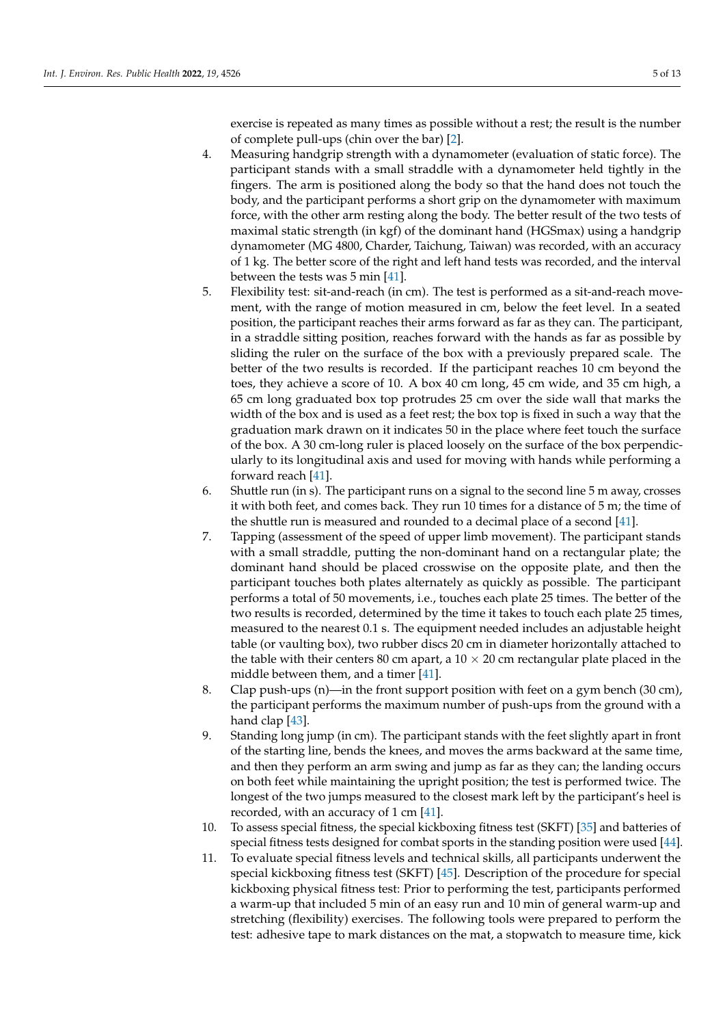exercise is repeated as many times as possible without a rest; the result is the number of complete pull-ups (chin over the bar) [\[2\]](#page-10-14).

- 4. Measuring handgrip strength with a dynamometer (evaluation of static force). The participant stands with a small straddle with a dynamometer held tightly in the fingers. The arm is positioned along the body so that the hand does not touch the body, and the participant performs a short grip on the dynamometer with maximum force, with the other arm resting along the body. The better result of the two tests of maximal static strength (in kgf) of the dominant hand (HGSmax) using a handgrip dynamometer (MG 4800, Charder, Taichung, Taiwan) was recorded, with an accuracy of 1 kg. The better score of the right and left hand tests was recorded, and the interval between the tests was 5 min [\[41\]](#page-11-17).
- 5. Flexibility test: sit-and-reach (in cm). The test is performed as a sit-and-reach movement, with the range of motion measured in cm, below the feet level. In a seated position, the participant reaches their arms forward as far as they can. The participant, in a straddle sitting position, reaches forward with the hands as far as possible by sliding the ruler on the surface of the box with a previously prepared scale. The better of the two results is recorded. If the participant reaches 10 cm beyond the toes, they achieve a score of 10. A box 40 cm long, 45 cm wide, and 35 cm high, a 65 cm long graduated box top protrudes 25 cm over the side wall that marks the width of the box and is used as a feet rest; the box top is fixed in such a way that the graduation mark drawn on it indicates 50 in the place where feet touch the surface of the box. A 30 cm-long ruler is placed loosely on the surface of the box perpendicularly to its longitudinal axis and used for moving with hands while performing a forward reach [\[41\]](#page-11-17).
- 6. Shuttle run (in s). The participant runs on a signal to the second line 5 m away, crosses it with both feet, and comes back. They run 10 times for a distance of 5 m; the time of the shuttle run is measured and rounded to a decimal place of a second [\[41\]](#page-11-17).
- 7. Tapping (assessment of the speed of upper limb movement). The participant stands with a small straddle, putting the non-dominant hand on a rectangular plate; the dominant hand should be placed crosswise on the opposite plate, and then the participant touches both plates alternately as quickly as possible. The participant performs a total of 50 movements, i.e., touches each plate 25 times. The better of the two results is recorded, determined by the time it takes to touch each plate 25 times, measured to the nearest 0.1 s. The equipment needed includes an adjustable height table (or vaulting box), two rubber discs 20 cm in diameter horizontally attached to the table with their centers 80 cm apart, a  $10 \times 20$  cm rectangular plate placed in the middle between them, and a timer [\[41\]](#page-11-17).
- 8. Clap push-ups (n)—in the front support position with feet on a gym bench (30 cm), the participant performs the maximum number of push-ups from the ground with a hand clap [\[43\]](#page-11-19).
- 9. Standing long jump (in cm). The participant stands with the feet slightly apart in front of the starting line, bends the knees, and moves the arms backward at the same time, and then they perform an arm swing and jump as far as they can; the landing occurs on both feet while maintaining the upright position; the test is performed twice. The longest of the two jumps measured to the closest mark left by the participant's heel is recorded, with an accuracy of 1 cm [\[41\]](#page-11-17).
- 10. To assess special fitness, the special kickboxing fitness test (SKFT) [\[35\]](#page-11-11) and batteries of special fitness tests designed for combat sports in the standing position were used [\[44\]](#page-11-20).
- 11. To evaluate special fitness levels and technical skills, all participants underwent the special kickboxing fitness test (SKFT) [\[45\]](#page-11-21). Description of the procedure for special kickboxing physical fitness test: Prior to performing the test, participants performed a warm-up that included 5 min of an easy run and 10 min of general warm-up and stretching (flexibility) exercises. The following tools were prepared to perform the test: adhesive tape to mark distances on the mat, a stopwatch to measure time, kick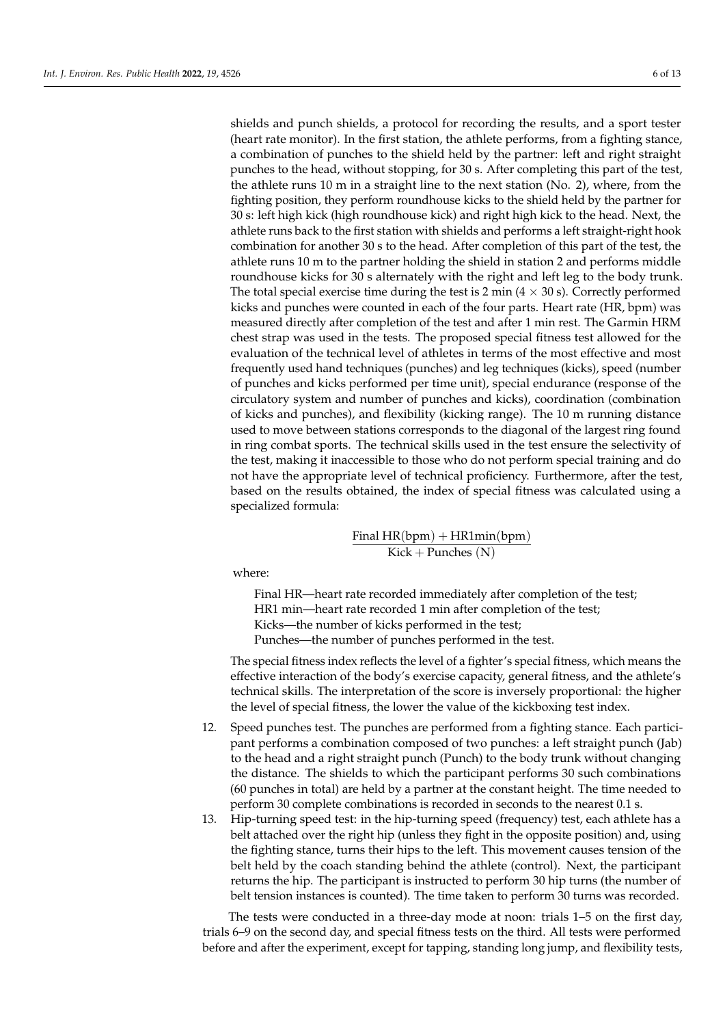shields and punch shields, a protocol for recording the results, and a sport tester (heart rate monitor). In the first station, the athlete performs, from a fighting stance, a combination of punches to the shield held by the partner: left and right straight punches to the head, without stopping, for 30 s. After completing this part of the test, the athlete runs 10 m in a straight line to the next station (No. 2), where, from the fighting position, they perform roundhouse kicks to the shield held by the partner for 30 s: left high kick (high roundhouse kick) and right high kick to the head. Next, the athlete runs back to the first station with shields and performs a left straight-right hook combination for another 30 s to the head. After completion of this part of the test, the athlete runs 10 m to the partner holding the shield in station 2 and performs middle roundhouse kicks for 30 s alternately with the right and left leg to the body trunk. The total special exercise time during the test is 2 min  $(4 \times 30 \text{ s})$ . Correctly performed kicks and punches were counted in each of the four parts. Heart rate (HR, bpm) was measured directly after completion of the test and after 1 min rest. The Garmin HRM chest strap was used in the tests. The proposed special fitness test allowed for the evaluation of the technical level of athletes in terms of the most effective and most frequently used hand techniques (punches) and leg techniques (kicks), speed (number of punches and kicks performed per time unit), special endurance (response of the circulatory system and number of punches and kicks), coordination (combination of kicks and punches), and flexibility (kicking range). The 10 m running distance used to move between stations corresponds to the diagonal of the largest ring found in ring combat sports. The technical skills used in the test ensure the selectivity of the test, making it inaccessible to those who do not perform special training and do not have the appropriate level of technical proficiency. Furthermore, after the test, based on the results obtained, the index of special fitness was calculated using a specialized formula:

> Final  $HR(bpm) + HR1min(bpm)$  $Kick + Punches(N)$

where:

Final HR—heart rate recorded immediately after completion of the test; HR1 min—heart rate recorded 1 min after completion of the test; Kicks—the number of kicks performed in the test; Punches—the number of punches performed in the test.

The special fitness index reflects the level of a fighter's special fitness, which means the effective interaction of the body's exercise capacity, general fitness, and the athlete's technical skills. The interpretation of the score is inversely proportional: the higher the level of special fitness, the lower the value of the kickboxing test index.

- 12. Speed punches test. The punches are performed from a fighting stance. Each participant performs a combination composed of two punches: a left straight punch (Jab) to the head and a right straight punch (Punch) to the body trunk without changing the distance. The shields to which the participant performs 30 such combinations (60 punches in total) are held by a partner at the constant height. The time needed to perform 30 complete combinations is recorded in seconds to the nearest 0.1 s.
- 13. Hip-turning speed test: in the hip-turning speed (frequency) test, each athlete has a belt attached over the right hip (unless they fight in the opposite position) and, using the fighting stance, turns their hips to the left. This movement causes tension of the belt held by the coach standing behind the athlete (control). Next, the participant returns the hip. The participant is instructed to perform 30 hip turns (the number of belt tension instances is counted). The time taken to perform 30 turns was recorded.

The tests were conducted in a three-day mode at noon: trials 1–5 on the first day, trials 6–9 on the second day, and special fitness tests on the third. All tests were performed before and after the experiment, except for tapping, standing long jump, and flexibility tests,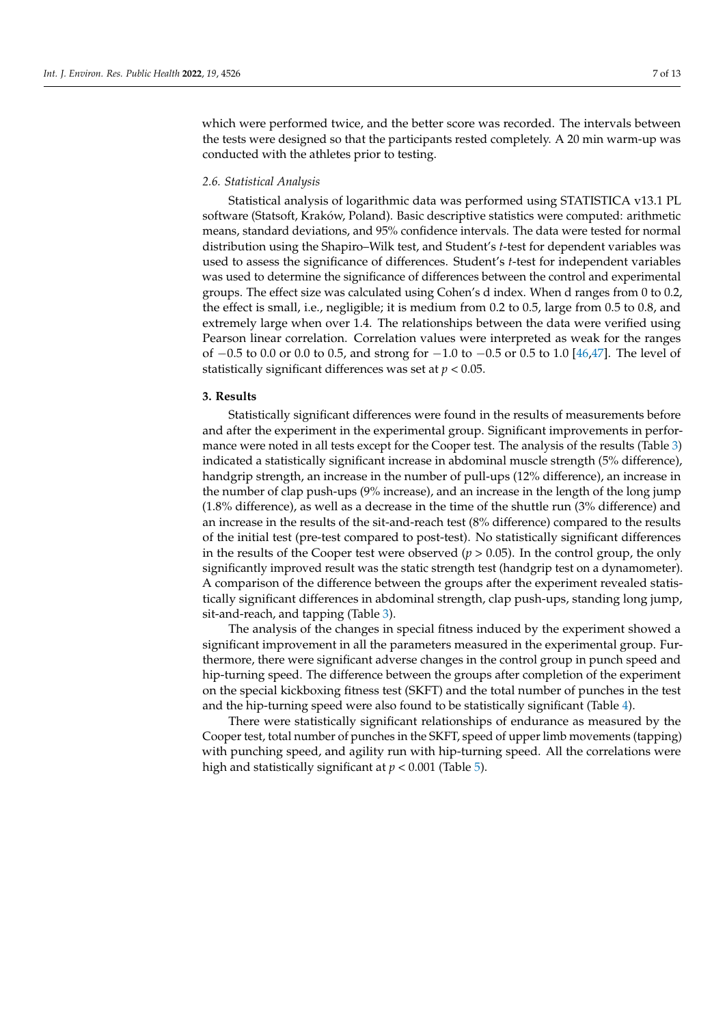which were performed twice, and the better score was recorded. The intervals between the tests were designed so that the participants rested completely. A 20 min warm-up was conducted with the athletes prior to testing.

## *2.6. Statistical Analysis*

Statistical analysis of logarithmic data was performed using STATISTICA v13.1 PL software (Statsoft, Kraków, Poland). Basic descriptive statistics were computed: arithmetic means, standard deviations, and 95% confidence intervals. The data were tested for normal distribution using the Shapiro–Wilk test, and Student's *t*-test for dependent variables was used to assess the significance of differences. Student's *t*-test for independent variables was used to determine the significance of differences between the control and experimental groups. The effect size was calculated using Cohen's d index. When d ranges from 0 to 0.2, the effect is small, i.e., negligible; it is medium from 0.2 to 0.5, large from 0.5 to 0.8, and extremely large when over 1.4. The relationships between the data were verified using Pearson linear correlation. Correlation values were interpreted as weak for the ranges of −0.5 to 0.0 or 0.0 to 0.5, and strong for −1.0 to −0.5 or 0.5 to 1.0 [\[46](#page-11-22)[,47\]](#page-11-23). The level of statistically significant differences was set at *p* < 0.05.

## **3. Results**

Statistically significant differences were found in the results of measurements before and after the experiment in the experimental group. Significant improvements in performance were noted in all tests except for the Cooper test. The analysis of the results (Table [3\)](#page-7-0) indicated a statistically significant increase in abdominal muscle strength (5% difference), handgrip strength, an increase in the number of pull-ups (12% difference), an increase in the number of clap push-ups (9% increase), and an increase in the length of the long jump (1.8% difference), as well as a decrease in the time of the shuttle run (3% difference) and an increase in the results of the sit-and-reach test (8% difference) compared to the results of the initial test (pre-test compared to post-test). No statistically significant differences in the results of the Cooper test were observed  $(p > 0.05)$ . In the control group, the only significantly improved result was the static strength test (handgrip test on a dynamometer). A comparison of the difference between the groups after the experiment revealed statistically significant differences in abdominal strength, clap push-ups, standing long jump, sit-and-reach, and tapping (Table [3\)](#page-7-0).

The analysis of the changes in special fitness induced by the experiment showed a significant improvement in all the parameters measured in the experimental group. Furthermore, there were significant adverse changes in the control group in punch speed and hip-turning speed. The difference between the groups after completion of the experiment on the special kickboxing fitness test (SKFT) and the total number of punches in the test and the hip-turning speed were also found to be statistically significant (Table [4\)](#page-7-1).

There were statistically significant relationships of endurance as measured by the Cooper test, total number of punches in the SKFT, speed of upper limb movements (tapping) with punching speed, and agility run with hip-turning speed. All the correlations were high and statistically significant at *p* < 0.001 (Table [5\)](#page-8-0).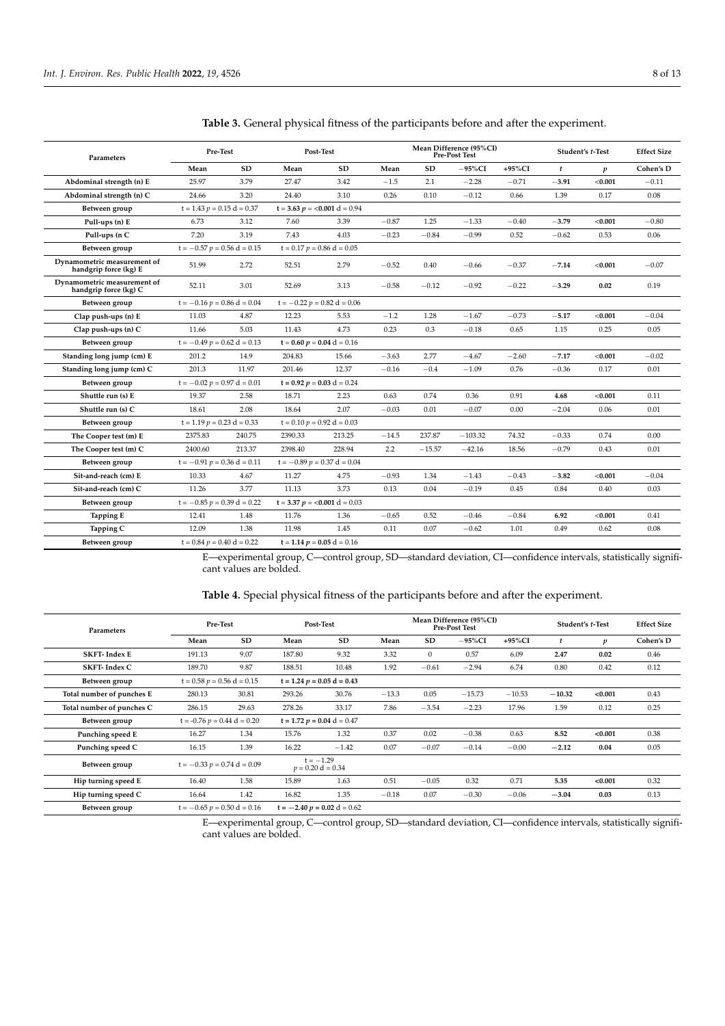| Parameters                                           | Pre-Test                         |           | Post-Test                        |                                 | Mean Difference (95%CI)<br><b>Pre-Post Test</b> |           |            | Student's t-Test |         | <b>Effect Size</b> |           |
|------------------------------------------------------|----------------------------------|-----------|----------------------------------|---------------------------------|-------------------------------------------------|-----------|------------|------------------|---------|--------------------|-----------|
|                                                      | Mean                             | <b>SD</b> | Mean                             | SD                              | Mean                                            | <b>SD</b> | $-95\%$ CI | $+95\%$ CI       | t       | p                  | Cohen's D |
| Abdominal strength (n) E                             | 25.97                            | 3.79      | 27.47                            | 3.42                            | $-1.5$                                          | 2.1       | $-2.28$    | $-0.71$          | $-3.91$ | < 0.001            | $-0.11$   |
| Abdominal strength (n) C                             | 24.66                            | 3.20      | 24.40                            | 3.10                            | 0.26                                            | 0.10      | $-0.12$    | 0.66             | 1.39    | 0.17               | 0.08      |
| Between group                                        | $t = 1.43$ $p = 0.15$ $d = 0.37$ |           |                                  | $t = 3.63$ $p = 0.001$ d = 0.94 |                                                 |           |            |                  |         |                    |           |
| Pull-ups (n) E                                       | 6.73                             | 3.12      | 7.60                             | 3.39                            | $-0.87$                                         | 1.25      | $-1.33$    | $-0.40$          | $-3.79$ | < 0.001            | $-0.80$   |
| Pull-ups (n C                                        | 7.20                             | 3.19      | 7.43                             | 4.03                            | $-0.23$                                         | $-0.84$   | $-0.99$    | 0.52             | $-0.62$ | 0.53               | 0.06      |
| Between group                                        | $t = -0.57$ $p = 0.56$ d = 0.15  |           | $t = 0.17$ $p = 0.86$ d = 0.05   |                                 |                                                 |           |            |                  |         |                    |           |
| Dynamometric measurement of<br>handgrip force (kg) E | 51.99                            | 2.72      | 52.51                            | 2.79                            | $-0.52$                                         | 0.40      | $-0.66$    | $-0.37$          | $-7.14$ | < 0.001            | $-0.07$   |
| Dynamometric measurement of<br>handgrip force (kg) C | 52.11                            | 3.01      | 52.69                            | 3.13                            | $-0.58$                                         | $-0.12$   | $-0.92$    | $-0.22$          | $-3.29$ | 0.02               | 0.19      |
| Between group                                        | $t = -0.16$ $p = 0.86$ d = 0.04  |           | $t = -0.22 p = 0.82 d = 0.06$    |                                 |                                                 |           |            |                  |         |                    |           |
| Clap push-ups (n) E                                  | 11.03                            | 4.87      | 12.23                            | 5.53                            | $-1.2$                                          | 1.28      | $-1.67$    | $-0.73$          | $-5.17$ | < 0.001            | $-0.04$   |
| Clap push-ups (n) C                                  | 11.66                            | 5.03      | 11.43                            | 4.73                            | 0.23                                            | 0.3       | $-0.18$    | 0.65             | 1.15    | 0.25               | 0.05      |
| Between group                                        | $t = -0.49$ $p = 0.62$ d = 0.13  |           | $t = 0.60 p = 0.04 d = 0.16$     |                                 |                                                 |           |            |                  |         |                    |           |
| Standing long jump (cm) E                            | 201.2                            | 14.9      | 204.83                           | 15.66                           | $-3.63$                                         | 2.77      | $-4.67$    | $-2.60$          | $-7.17$ | < 0.001            | $-0.02$   |
| Standing long jump (cm) C                            | 201.3                            | 11.97     | 201.46                           | 12.37                           | $-0.16$                                         | $-0.4$    | $-1.09$    | 0.76             | $-0.36$ | 0.17               | 0.01      |
| Between group                                        | $t = -0.02 p = 0.97 d = 0.01$    |           |                                  | $t = 0.92 p = 0.03 d = 0.24$    |                                                 |           |            |                  |         |                    |           |
| Shuttle run (s) E                                    | 19.37                            | 2.58      | 18.71                            | 2.23                            | 0.63                                            | 0.74      | 0.36       | 0.91             | 4.68    | < 0.001            | 0.11      |
| Shuttle run (s) C                                    | 18.61                            | 2.08      | 18.64                            | 2.07                            | $-0.03$                                         | 0.01      | $-0.07$    | 0.00             | $-2.04$ | 0.06               | 0.01      |
| Between group                                        | $t = 1.19$ $p = 0.23$ $d = 0.33$ |           |                                  | $t = 0.10 p = 0.92 d = 0.03$    |                                                 |           |            |                  |         |                    |           |
| The Cooper test (m) E                                | 2375.83                          | 240.75    | 2390.33                          | 213.25                          | $-14.5$                                         | 237.87    | $-103.32$  | 74.32            | $-0.33$ | 0.74               | 0.00      |
| The Cooper test (m) C                                | 2400.60                          | 213.37    | 2398.40                          | 228.94                          | 2.2                                             | $-15.57$  | $-42.16$   | 18.56            | $-0.79$ | 0.43               | 0.01      |
| Between group                                        | $t = -0.91 p = 0.36 d = 0.11$    |           | $t = -0.89 p = 0.37 d = 0.04$    |                                 |                                                 |           |            |                  |         |                    |           |
| Sit-and-reach (cm) E                                 | 10.33                            | 4.67      | 11.27                            | 4.75                            | $-0.93$                                         | 1.34      | $-1.43$    | $-0.43$          | $-3.82$ | < 0.001            | $-0.04$   |
| Sit-and-reach (cm) C                                 | 11.26                            | 3.77      | 11.13                            | 3.73                            | 0.13                                            | 0.04      | $-0.19$    | 0.45             | 0.84    | 0.40               | 0.03      |
| Between group                                        | $t = -0.85$ $p = 0.39$ d = 0.22  |           | $t = 3.37$ $p = <0.001$ d = 0.03 |                                 |                                                 |           |            |                  |         |                    |           |
| <b>Tapping E</b>                                     | 12.41                            | 1.48      | 11.76                            | 1.36                            | $-0.65$                                         | 0.52      | $-0.46$    | $-0.84$          | 6.92    | < 0.001            | 0.41      |
| Tapping C                                            | 12.09                            | 1.38      | 11.98                            | 1.45                            | 0.11                                            | 0.07      | $-0.62$    | 1.01             | 0.49    | 0.62               | 0.08      |
| Between group                                        | $t = 0.84$ $n = 0.40$ $d = 0.22$ |           |                                  | $t = 1.14 n = 0.05 d = 0.16$    |                                                 |           |            |                  |         |                    |           |

<span id="page-7-0"></span>**Table 3.** General physical fitness of the participants before and after the experiment.

**Between group** t =  $0.84$  *p* =  $0.40$  d =  $0.22$  t =  $1.14$  *p* =  $0.05$  d =  $0.16$ 

E—experimental group, C—control group, SD—standard deviation, CI—confidence intervals, statistically significant values are bolded.

<span id="page-7-1"></span>**Table 4.** Special physical fitness of the participants before and after the experiment.

|                           | Pre-Test                          |                                                                     | Post-Test                          |                               | Mean Difference (95%CI)<br>Pre-Post Test |              |           | Student's t-Test |           | <b>Effect Size</b> |           |
|---------------------------|-----------------------------------|---------------------------------------------------------------------|------------------------------------|-------------------------------|------------------------------------------|--------------|-----------|------------------|-----------|--------------------|-----------|
| Parameters                |                                   |                                                                     |                                    |                               |                                          |              |           |                  |           |                    |           |
|                           | Mean                              | SD                                                                  | Mean                               | SD                            | Mean                                     | <b>SD</b>    | $-95\%CI$ | $+95\%CI$        | $\ddot{}$ | $\boldsymbol{p}$   | Cohen's D |
| <b>SKFT-Index E</b>       | 191.13                            | 9.07                                                                | 187.80                             | 9.32                          | 3.32                                     | $\mathbf{0}$ | 0.57      | 6.09             | 2.47      | 0.02               | 0.46      |
| <b>SKFT-Index C</b>       | 189.70                            | 9.87                                                                | 188.51                             | 10.48                         | 1.92                                     | $-0.61$      | $-2.94$   | 6.74             | 0.80      | 0.42               | 0.12      |
| Between group             | $t = 0.58$ $p = 0.56$ d = 0.15    |                                                                     | $t = 1.24 p = 0.05 d = 0.43$       |                               |                                          |              |           |                  |           |                    |           |
| Total number of punches E | 280.13                            | 30.81                                                               | 293.26                             | 30.76                         | $-13.3$                                  | 0.05         | $-15.73$  | $-10.53$         | $-10.32$  | < 0.001            | 0.43      |
| Total number of punches C | 286.15                            | 29.63                                                               | 278.26                             | 33.17                         | 7.86                                     | $-3.54$      | $-2.23$   | 17.96            | 1.59      | 0.12               | 0.25      |
| Between group             |                                   | $t = -0.76$ $p = 0.44$ $d = 0.20$<br>$t = 1.72$ $p = 0.04$ d = 0.47 |                                    |                               |                                          |              |           |                  |           |                    |           |
| Punching speed E          | 16.27                             | 1.34                                                                | 15.76                              | 1.32                          | 0.37                                     | 0.02         | $-0.38$   | 0.63             | 8.52      | < 0.001            | 0.38      |
| Punching speed C          | 16.15                             | 1.39                                                                | 16.22                              | $-1.42$                       | 0.07                                     | $-0.07$      | $-0.14$   | $-0.00$          | $-2.12$   | 0.04               | 0.05      |
| Between group             | $t = -0.33$ $p = 0.74$ d = 0.09   |                                                                     | $t = -1.29$<br>$p = 0.20$ d = 0.34 |                               |                                          |              |           |                  |           |                    |           |
| Hip turning speed E       | 16.40                             | 1.58                                                                | 15.89                              | 1.63                          | 0.51                                     | $-0.05$      | 0.32      | 0.71             | 5.35      | < 0.001            | 0.32      |
| Hip turning speed C       | 16.64                             | 1.42                                                                | 16.82                              | 1.35                          | $-0.18$                                  | 0.07         | $-0.30$   | $-0.06$          | $-3.04$   | 0.03               | 0.13      |
| Between group             | $t = -0.65$ $p = 0.50$ $d = 0.16$ |                                                                     |                                    | $t = -2.40 p = 0.02 d = 0.62$ |                                          |              |           |                  |           |                    |           |

E—experimental group, C—control group, SD—standard deviation, CI—confidence intervals, statistically significant values are bolded.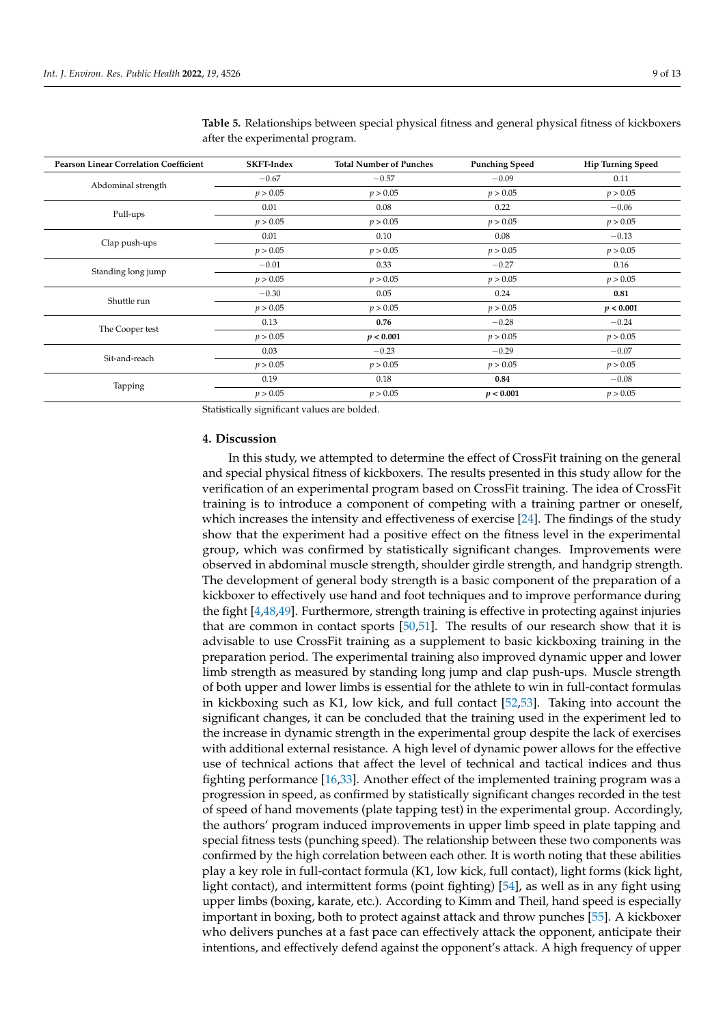| <b>Pearson Linear Correlation Coefficient</b> | <b>SKFT-Index</b> | <b>Total Number of Punches</b> | <b>Punching Speed</b> | <b>Hip Turning Speed</b> |
|-----------------------------------------------|-------------------|--------------------------------|-----------------------|--------------------------|
| Abdominal strength                            | $-0.67$           | $-0.57$                        | $-0.09$               | 0.11                     |
|                                               | p > 0.05          | p > 0.05                       | p > 0.05              | p > 0.05                 |
| Pull-ups                                      | 0.01              | 0.08                           | 0.22                  | $-0.06$                  |
|                                               | p > 0.05          | p > 0.05                       | p > 0.05              | p > 0.05                 |
| Clap push-ups                                 | 0.01              | 0.10                           | 0.08                  | $-0.13$                  |
|                                               | p > 0.05          | p > 0.05                       | p > 0.05              | p > 0.05                 |
| Standing long jump                            | $-0.01$           | 0.33                           | $-0.27$               | 0.16                     |
|                                               | p > 0.05          | p > 0.05                       | p > 0.05              | p > 0.05                 |
|                                               | $-0.30$           | 0.05                           | 0.24                  | 0.81                     |
| Shuttle run                                   | p > 0.05          | p > 0.05                       | p > 0.05              | p < 0.001                |
| The Cooper test                               | 0.13              | 0.76                           | $-0.28$               | $-0.24$                  |
|                                               | p > 0.05          | p < 0.001                      | p > 0.05              | p > 0.05                 |
|                                               | 0.03              | $-0.23$                        | $-0.29$               | $-0.07$                  |
| Sit-and-reach                                 | p > 0.05          | p > 0.05                       | p > 0.05              | p > 0.05                 |
|                                               | 0.19              | 0.18                           | 0.84                  | $-0.08$                  |
| Tapping                                       | p > 0.05          | p > 0.05                       | p < 0.001             | p > 0.05                 |

<span id="page-8-0"></span>**Table 5.** Relationships between special physical fitness and general physical fitness of kickboxers after the experimental program.

Statistically significant values are bolded.

#### **4. Discussion**

In this study, we attempted to determine the effect of CrossFit training on the general and special physical fitness of kickboxers. The results presented in this study allow for the verification of an experimental program based on CrossFit training. The idea of CrossFit training is to introduce a component of competing with a training partner or oneself, which increases the intensity and effectiveness of exercise [\[24\]](#page-11-3). The findings of the study show that the experiment had a positive effect on the fitness level in the experimental group, which was confirmed by statistically significant changes. Improvements were observed in abdominal muscle strength, shoulder girdle strength, and handgrip strength. The development of general body strength is a basic component of the preparation of a kickboxer to effectively use hand and foot techniques and to improve performance during the fight [\[4](#page-10-2)[,48](#page-11-24)[,49\]](#page-11-25). Furthermore, strength training is effective in protecting against injuries that are common in contact sports [\[50,](#page-11-26)[51\]](#page-11-27). The results of our research show that it is advisable to use CrossFit training as a supplement to basic kickboxing training in the preparation period. The experimental training also improved dynamic upper and lower limb strength as measured by standing long jump and clap push-ups. Muscle strength of both upper and lower limbs is essential for the athlete to win in full-contact formulas in kickboxing such as K1, low kick, and full contact [\[52,](#page-12-0)[53\]](#page-12-1). Taking into account the significant changes, it can be concluded that the training used in the experiment led to the increase in dynamic strength in the experimental group despite the lack of exercises with additional external resistance. A high level of dynamic power allows for the effective use of technical actions that affect the level of technical and tactical indices and thus fighting performance [\[16](#page-10-10)[,33\]](#page-11-9). Another effect of the implemented training program was a progression in speed, as confirmed by statistically significant changes recorded in the test of speed of hand movements (plate tapping test) in the experimental group. Accordingly, the authors' program induced improvements in upper limb speed in plate tapping and special fitness tests (punching speed). The relationship between these two components was confirmed by the high correlation between each other. It is worth noting that these abilities play a key role in full-contact formula (K1, low kick, full contact), light forms (kick light, light contact), and intermittent forms (point fighting) [\[54\]](#page-12-2), as well as in any fight using upper limbs (boxing, karate, etc.). According to Kimm and Theil, hand speed is especially important in boxing, both to protect against attack and throw punches [\[55\]](#page-12-3). A kickboxer who delivers punches at a fast pace can effectively attack the opponent, anticipate their intentions, and effectively defend against the opponent's attack. A high frequency of upper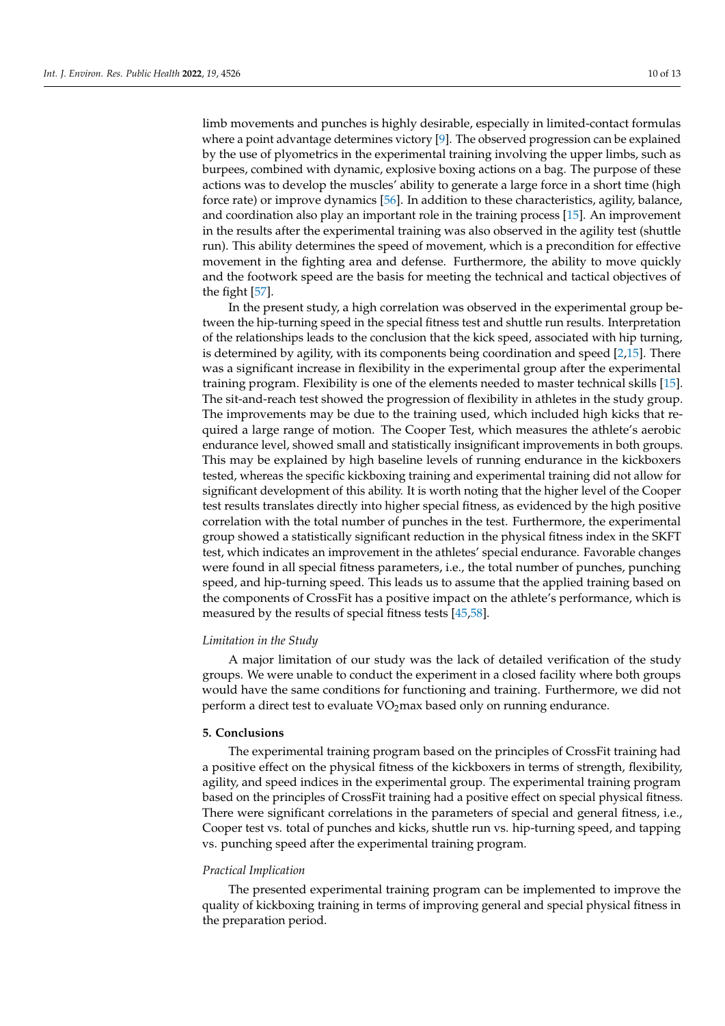limb movements and punches is highly desirable, especially in limited-contact formulas where a point advantage determines victory [\[9\]](#page-10-15). The observed progression can be explained by the use of plyometrics in the experimental training involving the upper limbs, such as burpees, combined with dynamic, explosive boxing actions on a bag. The purpose of these actions was to develop the muscles' ability to generate a large force in a short time (high force rate) or improve dynamics [\[56\]](#page-12-4). In addition to these characteristics, agility, balance, and coordination also play an important role in the training process [\[15\]](#page-10-9). An improvement in the results after the experimental training was also observed in the agility test (shuttle run). This ability determines the speed of movement, which is a precondition for effective movement in the fighting area and defense. Furthermore, the ability to move quickly and the footwork speed are the basis for meeting the technical and tactical objectives of the fight [\[57\]](#page-12-5).

In the present study, a high correlation was observed in the experimental group between the hip-turning speed in the special fitness test and shuttle run results. Interpretation of the relationships leads to the conclusion that the kick speed, associated with hip turning, is determined by agility, with its components being coordination and speed  $[2,15]$  $[2,15]$ . There was a significant increase in flexibility in the experimental group after the experimental training program. Flexibility is one of the elements needed to master technical skills [\[15\]](#page-10-9). The sit-and-reach test showed the progression of flexibility in athletes in the study group. The improvements may be due to the training used, which included high kicks that required a large range of motion. The Cooper Test, which measures the athlete's aerobic endurance level, showed small and statistically insignificant improvements in both groups. This may be explained by high baseline levels of running endurance in the kickboxers tested, whereas the specific kickboxing training and experimental training did not allow for significant development of this ability. It is worth noting that the higher level of the Cooper test results translates directly into higher special fitness, as evidenced by the high positive correlation with the total number of punches in the test. Furthermore, the experimental group showed a statistically significant reduction in the physical fitness index in the SKFT test, which indicates an improvement in the athletes' special endurance. Favorable changes were found in all special fitness parameters, i.e., the total number of punches, punching speed, and hip-turning speed. This leads us to assume that the applied training based on the components of CrossFit has a positive impact on the athlete's performance, which is measured by the results of special fitness tests [\[45](#page-11-21)[,58\]](#page-12-6).

## *Limitation in the Study*

A major limitation of our study was the lack of detailed verification of the study groups. We were unable to conduct the experiment in a closed facility where both groups would have the same conditions for functioning and training. Furthermore, we did not perform a direct test to evaluate  $VO<sub>2</sub>$  max based only on running endurance.

## **5. Conclusions**

The experimental training program based on the principles of CrossFit training had a positive effect on the physical fitness of the kickboxers in terms of strength, flexibility, agility, and speed indices in the experimental group. The experimental training program based on the principles of CrossFit training had a positive effect on special physical fitness. There were significant correlations in the parameters of special and general fitness, i.e., Cooper test vs. total of punches and kicks, shuttle run vs. hip-turning speed, and tapping vs. punching speed after the experimental training program.

## *Practical Implication*

The presented experimental training program can be implemented to improve the quality of kickboxing training in terms of improving general and special physical fitness in the preparation period.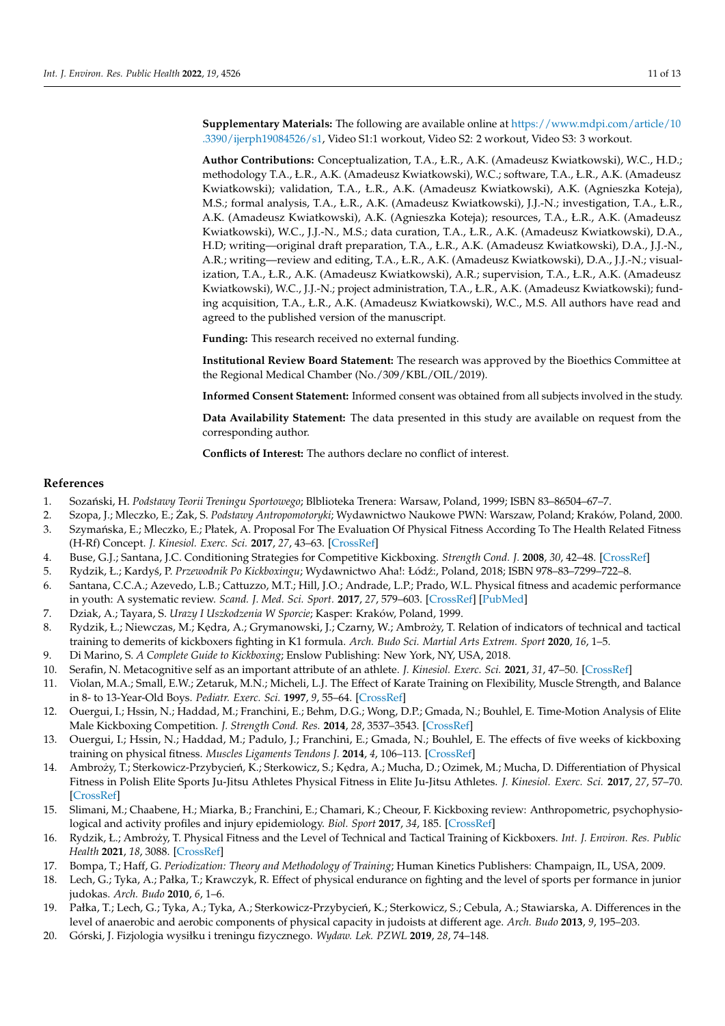**Supplementary Materials:** The following are available online at [https://www.mdpi.com/article/10](https://www.mdpi.com/article/10.3390/ijerph19084526/s1) [.3390/ijerph19084526/s1,](https://www.mdpi.com/article/10.3390/ijerph19084526/s1) Video S1:1 workout, Video S2: 2 workout, Video S3: 3 workout.

**Author Contributions:** Conceptualization, T.A., Ł.R., A.K. (Amadeusz Kwiatkowski), W.C., H.D.; methodology T.A., Ł.R., A.K. (Amadeusz Kwiatkowski), W.C.; software, T.A., Ł.R., A.K. (Amadeusz Kwiatkowski); validation, T.A., Ł.R., A.K. (Amadeusz Kwiatkowski), A.K. (Agnieszka Koteja), M.S.; formal analysis, T.A., Ł.R., A.K. (Amadeusz Kwiatkowski), J.J.-N.; investigation, T.A., Ł.R., A.K. (Amadeusz Kwiatkowski), A.K. (Agnieszka Koteja); resources, T.A., Ł.R., A.K. (Amadeusz Kwiatkowski), W.C., J.J.-N., M.S.; data curation, T.A., Ł.R., A.K. (Amadeusz Kwiatkowski), D.A., H.D; writing—original draft preparation, T.A., Ł.R., A.K. (Amadeusz Kwiatkowski), D.A., J.J.-N., A.R.; writing—review and editing, T.A., Ł.R., A.K. (Amadeusz Kwiatkowski), D.A., J.J.-N.; visualization, T.A., Ł.R., A.K. (Amadeusz Kwiatkowski), A.R.; supervision, T.A., Ł.R., A.K. (Amadeusz Kwiatkowski), W.C., J.J.-N.; project administration, T.A., Ł.R., A.K. (Amadeusz Kwiatkowski); funding acquisition, T.A., Ł.R., A.K. (Amadeusz Kwiatkowski), W.C., M.S. All authors have read and agreed to the published version of the manuscript.

**Funding:** This research received no external funding.

**Institutional Review Board Statement:** The research was approved by the Bioethics Committee at the Regional Medical Chamber (No./309/KBL/OIL/2019).

**Informed Consent Statement:** Informed consent was obtained from all subjects involved in the study.

**Data Availability Statement:** The data presented in this study are available on request from the corresponding author.

**Conflicts of Interest:** The authors declare no conflict of interest.

## **References**

- <span id="page-10-0"></span>1. Soza ´nski, H. *Podstawy Teorii Treningu Sportowego*; Blblioteka Trenera: Warsaw, Poland, 1999; ISBN 83–86504–67–7.
- <span id="page-10-14"></span>2. Szopa, J.; Mleczko, E.; Żak, S. Podstawy Antropomotoryki; Wydawnictwo Naukowe PWN: Warszaw, Poland; Kraków, Poland, 2000.
- <span id="page-10-1"></span>3. Szymańska, E.; Mleczko, E.; Płatek, A. Proposal For The Evaluation Of Physical Fitness According To The Health Related Fitness (H-Rf) Concept. *J. Kinesiol. Exerc. Sci.* **2017**, *27*, 43–63. [\[CrossRef\]](http://doi.org/10.5604/01.3001.0012.2308)
- <span id="page-10-2"></span>4. Buse, G.J.; Santana, J.C. Conditioning Strategies for Competitive Kickboxing. *Strength Cond. J.* **2008**, *30*, 42–48. [\[CrossRef\]](http://doi.org/10.1519/SSC.0b013e31817f19cd)
- <span id="page-10-13"></span>5. Rydzik, Ł.; Kardyś, P. Przewodnik Po Kickboxingu; Wydawnictwo Aha!: Łódź:, Poland, 2018; ISBN 978-83-7299-722-8.
- <span id="page-10-3"></span>6. Santana, C.C.A.; Azevedo, L.B.; Cattuzzo, M.T.; Hill, J.O.; Andrade, L.P.; Prado, W.L. Physical fitness and academic performance in youth: A systematic review. *Scand. J. Med. Sci. Sport.* **2017**, *27*, 579–603. [\[CrossRef\]](http://doi.org/10.1111/sms.12773) [\[PubMed\]](http://www.ncbi.nlm.nih.gov/pubmed/27714852)
- <span id="page-10-4"></span>7. Dziak, A.; Tayara, S. *Urazy I Uszkodzenia W Sporcie*; Kasper: Kraków, Poland, 1999.
- <span id="page-10-5"></span>8. Rydzik, Ł.; Niewczas, M.; Kędra, A.; Grymanowski, J.; Czarny, W.; Ambroży, T. Relation of indicators of technical and tactical training to demerits of kickboxers fighting in K1 formula. *Arch. Budo Sci. Martial Arts Extrem. Sport* **2020**, *16*, 1–5.
- <span id="page-10-15"></span>9. Di Marino, S. *A Complete Guide to Kickboxing*; Enslow Publishing: New York, NY, USA, 2018.
- <span id="page-10-6"></span>10. Serafin, N. Metacognitive self as an important attribute of an athlete. *J. Kinesiol. Exerc. Sci.* **2021**, *31*, 47–50. [\[CrossRef\]](http://doi.org/10.5604/01.3001.0015.7317)
- <span id="page-10-7"></span>11. Violan, M.A.; Small, E.W.; Zetaruk, M.N.; Micheli, L.J. The Effect of Karate Training on Flexibility, Muscle Strength, and Balance in 8- to 13-Year-Old Boys. *Pediatr. Exerc. Sci.* **1997**, *9*, 55–64. [\[CrossRef\]](http://doi.org/10.1123/pes.9.1.55)
- 12. Ouergui, I.; Hssin, N.; Haddad, M.; Franchini, E.; Behm, D.G.; Wong, D.P.; Gmada, N.; Bouhlel, E. Time-Motion Analysis of Elite Male Kickboxing Competition. *J. Strength Cond. Res.* **2014**, *28*, 3537–3543. [\[CrossRef\]](http://doi.org/10.1519/JSC.0000000000000579)
- 13. Ouergui, I.; Hssin, N.; Haddad, M.; Padulo, J.; Franchini, E.; Gmada, N.; Bouhlel, E. The effects of five weeks of kickboxing training on physical fitness. *Muscles Ligaments Tendons J.* **2014**, *4*, 106–113. [\[CrossRef\]](http://doi.org/10.32098/mltj.02.2014.03)
- <span id="page-10-8"></span>14. Ambroży, T.; Sterkowicz-Przybycień, K.; Sterkowicz, S.; Kedra, A.; Mucha, D.; Ozimek, M.; Mucha, D. Differentiation of Physical Fitness in Polish Elite Sports Ju-Jitsu Athletes Physical Fitness in Elite Ju-Jitsu Athletes. *J. Kinesiol. Exerc. Sci.* **2017**, *27*, 57–70. [\[CrossRef\]](http://doi.org/10.5604/01.3001.0012.1430)
- <span id="page-10-9"></span>15. Slimani, M.; Chaabene, H.; Miarka, B.; Franchini, E.; Chamari, K.; Cheour, F. Kickboxing review: Anthropometric, psychophysiological and activity profiles and injury epidemiology. *Biol. Sport* **2017**, *34*, 185. [\[CrossRef\]](http://doi.org/10.5114/biolsport.2017.65338)
- <span id="page-10-10"></span>16. Rydzik, Ł.; Ambrozy, T. Physical Fitness and the Level of Technical and Tactical Training of Kickboxers. ˙ *Int. J. Environ. Res. Public Health* **2021**, *18*, 3088. [\[CrossRef\]](http://doi.org/10.3390/ijerph18063088)
- <span id="page-10-11"></span>17. Bompa, T.; Haff, G. *Periodization: Theory and Methodology of Training*; Human Kinetics Publishers: Champaign, IL, USA, 2009.
- 18. Lech, G.; Tyka, A.; Pałka, T.; Krawczyk, R. Effect of physical endurance on fighting and the level of sports per formance in junior judokas. *Arch. Budo* **2010**, *6*, 1–6.
- 19. Pałka, T.; Lech, G.; Tyka, A.; Tyka, A.; Sterkowicz-Przybycień, K.; Sterkowicz, S.; Cebula, A.; Stawiarska, A. Differences in the level of anaerobic and aerobic components of physical capacity in judoists at different age. *Arch. Budo* **2013**, *9*, 195–203.
- <span id="page-10-12"></span>20. Górski, J. Fizjologia wysiłku i treningu fizycznego. *Wydaw. Lek. PZWL* **2019**, *28*, 74–148.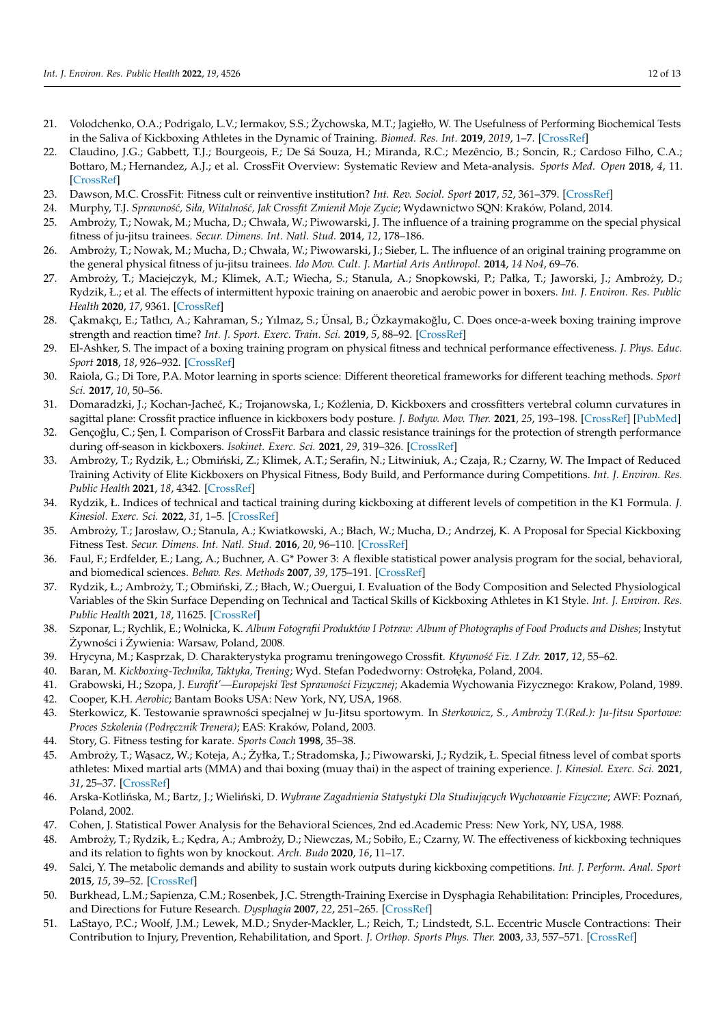- <span id="page-11-0"></span>21. Volodchenko, O.A.; Podrigalo, L.V.; Iermakov, S.S.; Zychowska, M.T.; Jagiełło, W. The Usefulness of Performing Biochemical Tests ˙ in the Saliva of Kickboxing Athletes in the Dynamic of Training. *Biomed. Res. Int.* **2019**, *2019*, 1–7. [\[CrossRef\]](http://doi.org/10.1155/2019/2014347)
- <span id="page-11-1"></span>22. Claudino, J.G.; Gabbett, T.J.; Bourgeois, F.; De Sá Souza, H.; Miranda, R.C.; Mezêncio, B.; Soncin, R.; Cardoso Filho, C.A.; Bottaro, M.; Hernandez, A.J.; et al. CrossFit Overview: Systematic Review and Meta-analysis. *Sports Med. Open* **2018**, *4*, 11. [\[CrossRef\]](http://doi.org/10.1186/s40798-018-0124-5)
- <span id="page-11-2"></span>23. Dawson, M.C. CrossFit: Fitness cult or reinventive institution? *Int. Rev. Sociol. Sport* **2017**, *52*, 361–379. [\[CrossRef\]](http://doi.org/10.1177/1012690215591793)
- <span id="page-11-3"></span>24. Murphy, T.J. *Sprawno´s´c, Siła, Witalno´s´c, Jak Crossfit Zmienił Moje Zycie*; Wydawnictwo SQN: Kraków, Poland, 2014.
- <span id="page-11-4"></span>25. Ambrozy, T.; Nowak, M.; Mucha, D.; Chwała, W.; Piwowarski, J. The influence of a training programme on the special physical ˙ fitness of ju-jitsu trainees. *Secur. Dimens. Int. Natl. Stud.* **2014**, *12*, 178–186.
- 26. Ambroży, T.; Nowak, M.; Mucha, D.; Chwała, W.; Piwowarski, J.; Sieber, L. The influence of an original training programme on the general physical fitness of ju-jitsu trainees. *Ido Mov. Cult. J. Martial Arts Anthropol.* **2014**, *14 No4*, 69–76.
- 27. Ambroży, T.; Maciejczyk, M.; Klimek, A.T.; Wiecha, S.; Stanula, A.; Snopkowski, P.; Pałka, T.; Jaworski, J.; Ambroży, D.; Rydzik, Ł.; et al. The effects of intermittent hypoxic training on anaerobic and aerobic power in boxers. *Int. J. Environ. Res. Public Health* **2020**, *17*, 9361. [\[CrossRef\]](http://doi.org/10.3390/ijerph17249361)
- 28. Çakmakçı, E.; Tatlıcı, A.; Kahraman, S.; Yılmaz, S.; Ünsal, B.; Özkaymakoğlu, C. Does once-a-week boxing training improve strength and reaction time? *Int. J. Sport. Exerc. Train. Sci.* **2019**, *5*, 88–92. [\[CrossRef\]](http://doi.org/10.18826/useeabd.552086)
- <span id="page-11-5"></span>29. El-Ashker, S. The impact of a boxing training program on physical fitness and technical performance effectiveness. *J. Phys. Educ. Sport* **2018**, *18*, 926–932. [\[CrossRef\]](http://doi.org/10.7752/jpes.2018.02137)
- <span id="page-11-6"></span>30. Raiola, G.; Di Tore, P.A. Motor learning in sports science: Different theoretical frameworks for different teaching methods. *Sport Sci.* **2017**, *10*, 50–56.
- <span id="page-11-7"></span>31. Domaradzki, J.; Kochan-Jacheć, K.; Trojanowska, I.; Koźlenia, D. Kickboxers and crossfitters vertebral column curvatures in sagittal plane: Crossfit practice influence in kickboxers body posture. *J. Bodyw. Mov. Ther.* **2021**, *25*, 193–198. [\[CrossRef\]](http://doi.org/10.1016/j.jbmt.2020.11.016) [\[PubMed\]](http://www.ncbi.nlm.nih.gov/pubmed/33714495)
- <span id="page-11-8"></span>32. Gençoğlu, C.; Şen, İ. Comparison of CrossFit Barbara and classic resistance trainings for the protection of strength performance during off-season in kickboxers. *Isokinet. Exerc. Sci.* **2021**, *29*, 319–326. [\[CrossRef\]](http://doi.org/10.3233/IES-203190)
- <span id="page-11-9"></span>33. Ambroży, T.; Rydzik, Ł.; Obmiński, Z.; Klimek, A.T.; Serafin, N.; Litwiniuk, A.; Czaja, R.; Czarny, W. The Impact of Reduced Training Activity of Elite Kickboxers on Physical Fitness, Body Build, and Performance during Competitions. *Int. J. Environ. Res. Public Health* **2021**, *18*, 4342. [\[CrossRef\]](http://doi.org/10.3390/ijerph18084342)
- <span id="page-11-10"></span>34. Rydzik, Ł. Indices of technical and tactical training during kickboxing at different levels of competition in the K1 Formula. *J. Kinesiol. Exerc. Sci.* **2022**, *31*, 1–5. [\[CrossRef\]](http://doi.org/10.5604/01.3001.0015.7542)
- <span id="page-11-11"></span>35. Ambrozy, T.; Jarosław, O.; Stanula, A.; Kwiatkowski, A.; Błach, W.; Mucha, D.; Andrzej, K. A Proposal for Special Kickboxing ˙ Fitness Test. *Secur. Dimens. Int. Natl. Stud.* **2016**, *20*, 96–110. [\[CrossRef\]](http://doi.org/10.24356/SD/20/5)
- <span id="page-11-12"></span>36. Faul, F.; Erdfelder, E.; Lang, A.; Buchner, A. G\* Power 3: A flexible statistical power analysis program for the social, behavioral, and biomedical sciences. *Behav. Res. Methods* **2007**, *39*, 175–191. [\[CrossRef\]](http://doi.org/10.3758/BF03193146)
- <span id="page-11-13"></span>37. Rydzik, Ł.; Ambroży, T.; Obmiński, Z.; Błach, W.; Ouergui, I. Evaluation of the Body Composition and Selected Physiological Variables of the Skin Surface Depending on Technical and Tactical Skills of Kickboxing Athletes in K1 Style. *Int. J. Environ. Res. Public Health* **2021**, *18*, 11625. [\[CrossRef\]](http://doi.org/10.3390/ijerph182111625)
- <span id="page-11-14"></span>38. Szponar, L.; Rychlik, E.; Wolnicka, K. *Album Fotografii Produktów I Potraw: Album of Photographs of Food Products and Dishes*; Instytut Żywności i Żywienia: Warsaw, Poland, 2008.
- <span id="page-11-15"></span>39. Hrycyna, M.; Kasprzak, D. Charakterystyka programu treningowego Crossfit. *Ktywno´s´c Fiz. I Zdr.* **2017**, *12*, 55–62.
- <span id="page-11-16"></span>40. Baran, M. *Kickboxing-Technika, Taktyka, Trening; Wyd. Stefan Podedworny: Ostrołęka, Poland, 2004.*
- <span id="page-11-18"></span><span id="page-11-17"></span>41. Grabowski, H.; Szopa, J. *Eurofit'—Europejski Test Sprawno´sci Fizycznej*; Akademia Wychowania Fizycznego: Krakow, Poland, 1989. 42. Cooper, K.H. *Aerobic*; Bantam Books USA: New York, NY, USA, 1968.
- <span id="page-11-19"></span>43. Sterkowicz, K. Testowanie sprawności specjalnej w Ju-Jitsu sportowym. In *Sterkowicz, S., Ambroży T.(Red.): Ju-Jitsu Sportowe: Proces Szkolenia (Podr˛ecznik Trenera)*; EAS: Kraków, Poland, 2003.
- <span id="page-11-20"></span>44. Story, G. Fitness testing for karate. *Sports Coach* **1998**, 35–38.
- <span id="page-11-21"></span>45. Ambroży, T.; Wasacz, W.; Koteja, A.; Żyłka, T.; Stradomska, J.; Piwowarski, J.; Rydzik, Ł. Special fitness level of combat sports athletes: Mixed martial arts (MMA) and thai boxing (muay thai) in the aspect of training experience. *J. Kinesiol. Exerc. Sci.* **2021**, *31*, 25–37. [\[CrossRef\]](http://doi.org/10.5604/01.3001.0015.7582)
- <span id="page-11-22"></span>46. Arska-Kotlińska, M.; Bartz, J.; Wieliński, D. Wybrane Zagadnienia Statystyki Dla Studiujących Wychowanie Fizyczne; AWF: Poznań, Poland, 2002.
- <span id="page-11-23"></span>47. Cohen, J. Statistical Power Analysis for the Behavioral Sciences, 2nd ed.Academic Press: New York, NY, USA, 1988.
- <span id="page-11-24"></span>48. Ambroży, T.; Rydzik, Ł.; Kędra, A.; Ambroży, D.; Niewczas, M.; Sobiło, E.; Czarny, W. The effectiveness of kickboxing techniques and its relation to fights won by knockout. *Arch. Budo* **2020**, *16*, 11–17.
- <span id="page-11-25"></span>49. Salci, Y. The metabolic demands and ability to sustain work outputs during kickboxing competitions. *Int. J. Perform. Anal. Sport* **2015**, *15*, 39–52. [\[CrossRef\]](http://doi.org/10.1080/24748668.2015.11868775)
- <span id="page-11-26"></span>50. Burkhead, L.M.; Sapienza, C.M.; Rosenbek, J.C. Strength-Training Exercise in Dysphagia Rehabilitation: Principles, Procedures, and Directions for Future Research. *Dysphagia* **2007**, *22*, 251–265. [\[CrossRef\]](http://doi.org/10.1007/s00455-006-9074-z)
- <span id="page-11-27"></span>51. LaStayo, P.C.; Woolf, J.M.; Lewek, M.D.; Snyder-Mackler, L.; Reich, T.; Lindstedt, S.L. Eccentric Muscle Contractions: Their Contribution to Injury, Prevention, Rehabilitation, and Sport. *J. Orthop. Sports Phys. Ther.* **2003**, *33*, 557–571. [\[CrossRef\]](http://doi.org/10.2519/jospt.2003.33.10.557)